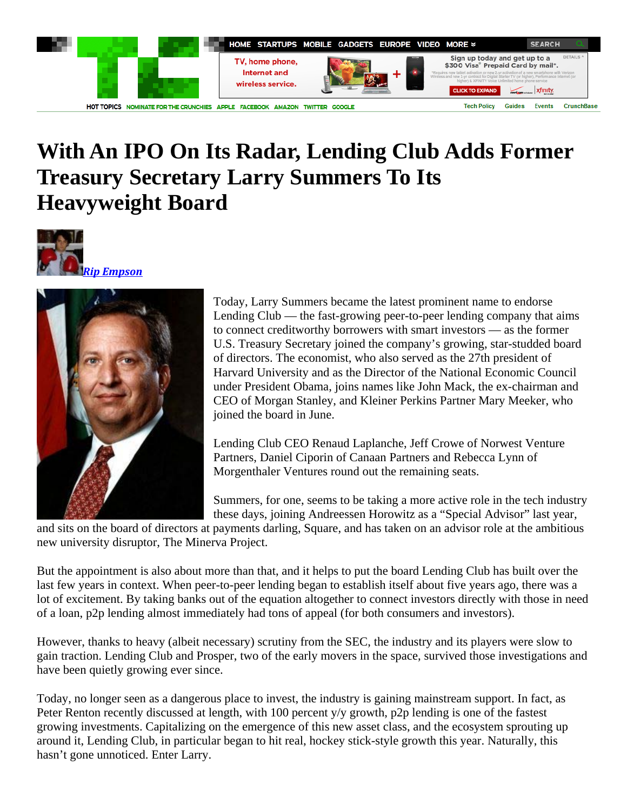

# **With An IPO On Its Radar, Lending Club Adds Former Treasury Secretary Larry Summers To Its Heavyweight Board**





Today, Larry Summers became the latest prominent name to endorse Lending Club — the fast-growing peer-to-peer lending company that aims to connect creditworthy borrowers with smart investors — as the former U.S. Treasury Secretary joined the company's growing, star-studded board of directors. The economist, who also served as the 27th president of Harvard University and as the Director of the National Economic Council under President Obama, joins names like John Mack, the ex-chairman and CEO of Morgan Stanley, and Kleiner Perkins Partner Mary Meeker, who joined the board in June.

Lending Club CEO Renaud Laplanche, Jeff Crowe of Norwest Venture Partners, Daniel Ciporin of Canaan Partners and Rebecca Lynn of Morgenthaler Ventures round out the remaining seats.

Summers, for one, seems to be taking a more active role in the tech industry these days, joining Andreessen Horowitz as a "Special Advisor" last year,

and sits on the board of directors at payments darling, Square, and has taken on an advisor role at the ambitious new university disruptor, The Minerva Project.

But the appointment is also about more than that, and it helps to put the board Lending Club has built over the last few years in context. When peer-to-peer lending began to establish itself about five years ago, there was a lot of excitement. By taking banks out of the equation altogether to connect investors directly with those in need of a loan, p2p lending almost immediately had tons of appeal (for both consumers and investors).

However, thanks to heavy (albeit necessary) scrutiny from the SEC, the industry and its players were slow to gain traction. Lending Club and Prosper, two of the early movers in the space, survived those investigations and have been quietly growing ever since.

Today, no longer seen as a dangerous place to invest, the industry is gaining mainstream support. In fact, as Peter Renton recently discussed at length, with 100 percent y/y growth, p2p lending is one of the fastest growing investments. Capitalizing on the emergence of this new asset class, and the ecosystem sprouting up around it, Lending Club, in particular began to hit real, hockey stick-style growth this year. Naturally, this hasn't gone unnoticed. Enter Larry.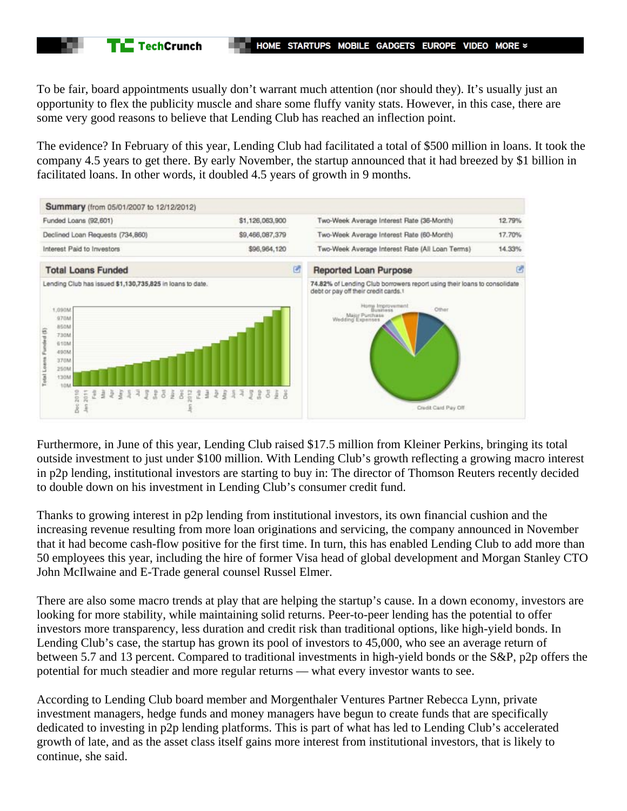To be fair, board appointments usually don't warrant much attention (nor should they). It's usually just an opportunity to flex the publicity muscle and share some fluffy vanity stats. However, in this case, there are some very good reasons to believe that Lending Club has reached an inflection point.

**THE TechCrunch** 

The evidence? In February of this year, Lending Club had facilitated a total of \$500 million in loans. It took the company 4.5 years to get there. By early November, the startup announced that it had breezed by \$1 billion in facilitated loans. In other words, it doubled 4.5 years of growth in 9 months.



Furthermore, in June of this year, Lending Club raised \$17.5 million from Kleiner Perkins, bringing its total outside investment to just under \$100 million. With Lending Club's growth reflecting a growing macro interest in p2p lending, institutional investors are starting to buy in: The director of Thomson Reuters recently decided to double down on his investment in Lending Club's consumer credit fund.

Thanks to growing interest in p2p lending from institutional investors, its own financial cushion and the increasing revenue resulting from more loan originations and servicing, the company announced in November that it had become cash-flow positive for the first time. In turn, this has enabled Lending Club to add more than 50 employees this year, including the hire of former Visa head of global development and Morgan Stanley CTO John McIlwaine and E-Trade general counsel Russel Elmer.

There are also some macro trends at play that are helping the startup's cause. In a down economy, investors are looking for more stability, while maintaining solid returns. Peer-to-peer lending has the potential to offer investors more transparency, less duration and credit risk than traditional options, like high-yield bonds. In Lending Club's case, the startup has grown its pool of investors to 45,000, who see an average return of between 5.7 and 13 percent. Compared to traditional investments in high-yield bonds or the S&P, p2p offers the potential for much steadier and more regular returns — what every investor wants to see.

According to Lending Club board member and Morgenthaler Ventures Partner Rebecca Lynn, private investment managers, hedge funds and money managers have begun to create funds that are specifically dedicated to investing in p2p lending platforms. This is part of what has led to Lending Club's accelerated growth of late, and as the asset class itself gains more interest from institutional investors, that is likely to continue, she said.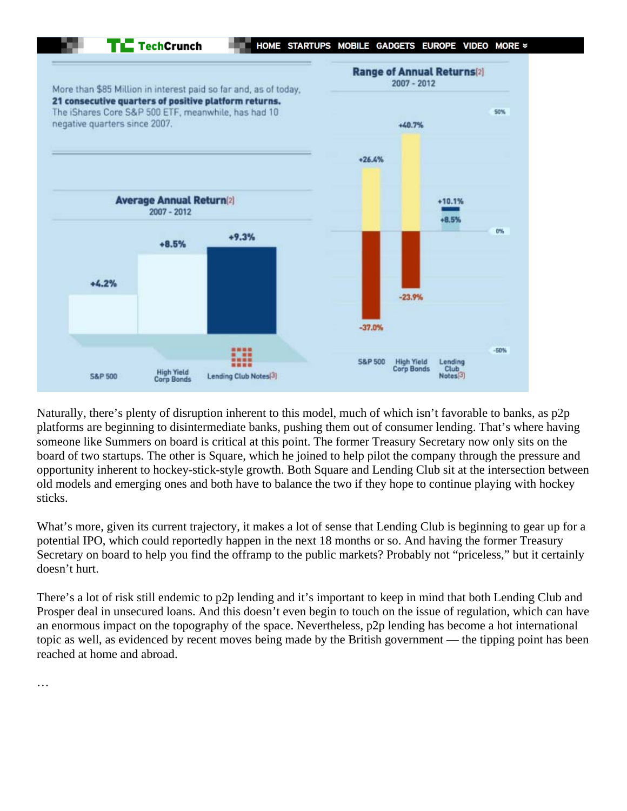

Naturally, there's plenty of disruption inherent to this model, much of which isn't favorable to banks, as p2p platforms are beginning to disintermediate banks, pushing them out of consumer lending. That's where having someone like Summers on board is critical at this point. The former Treasury Secretary now only sits on the board of two startups. The other is Square, which he joined to help pilot the company through the pressure and opportunity inherent to hockey-stick-style growth. Both Square and Lending Club sit at the intersection between old models and emerging ones and both have to balance the two if they hope to continue playing with hockey sticks.

What's more, given its current trajectory, it makes a lot of sense that Lending Club is beginning to gear up for a potential IPO, which could reportedly happen in the next 18 months or so. And having the former Treasury Secretary on board to help you find the offramp to the public markets? Probably not "priceless," but it certainly doesn't hurt.

There's a lot of risk still endemic to p2p lending and it's important to keep in mind that both Lending Club and Prosper deal in unsecured loans. And this doesn't even begin to touch on the issue of regulation, which can have an enormous impact on the topography of the space. Nevertheless, p2p lending has become a hot international topic as well, as evidenced by recent moves being made by the British government — the tipping point has been reached at home and abroad.

…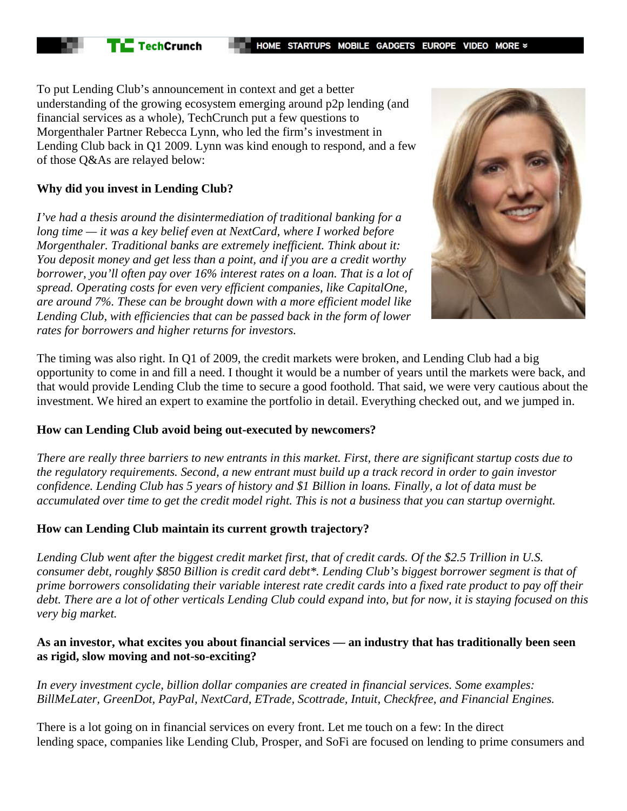**THE TechCrunch** 

To put Lending Club's announcement in context and get a better understanding of the growing ecosystem emerging around p2p lending (and financial services as a whole), TechCrunch put a few questions to Morgenthaler Partner Rebecca Lynn, who led the firm's investment in Lending Club back in Q1 2009. Lynn was kind enough to respond, and a few of those Q&As are relayed below:

## **Why did you invest in Lending Club?**

*I've had a thesis around the disintermediation of traditional banking for a long time — it was a key belief even at NextCard, where I worked before Morgenthaler. Traditional banks are extremely inefficient. Think about it: You deposit money and get less than a point, and if you are a credit worthy borrower, you'll often pay over 16% interest rates on a loan. That is a lot of spread. Operating costs for even very efficient companies, like CapitalOne, are around 7%. These can be brought down with a more efficient model like Lending Club, with efficiencies that can be passed back in the form of lower rates for borrowers and higher returns for investors.*



The timing was also right. In Q1 of 2009, the credit markets were broken, and Lending Club had a big opportunity to come in and fill a need. I thought it would be a number of years until the markets were back, and that would provide Lending Club the time to secure a good foothold. That said, we were very cautious about the investment. We hired an expert to examine the portfolio in detail. Everything checked out, and we jumped in.

#### **How can Lending Club avoid being out-executed by newcomers?**

*There are really three barriers to new entrants in this market. First, there are significant startup costs due to the regulatory requirements. Second, a new entrant must build up a track record in order to gain investor confidence. Lending Club has 5 years of history and \$1 Billion in loans. Finally, a lot of data must be accumulated over time to get the credit model right. This is not a business that you can startup overnight.*

#### **How can Lending Club maintain its current growth trajectory?**

*Lending Club went after the biggest credit market first, that of credit cards. Of the \$2.5 Trillion in U.S. consumer debt, roughly \$850 Billion is credit card debt\*. Lending Club's biggest borrower segment is that of prime borrowers consolidating their variable interest rate credit cards into a fixed rate product to pay off their debt. There are a lot of other verticals Lending Club could expand into, but for now, it is staying focused on this very big market.*

### **As an investor, what excites you about financial services — an industry that has traditionally been seen as rigid, slow moving and not-so-exciting?**

*In every investment cycle, billion dollar companies are created in financial services. Some examples: BillMeLater, GreenDot, PayPal, NextCard, ETrade, Scottrade, Intuit, Checkfree, and Financial Engines.*

There is a lot going on in financial services on every front. Let me touch on a few: In the direct lending space, companies like Lending Club, Prosper, and SoFi are focused on lending to prime consumers and